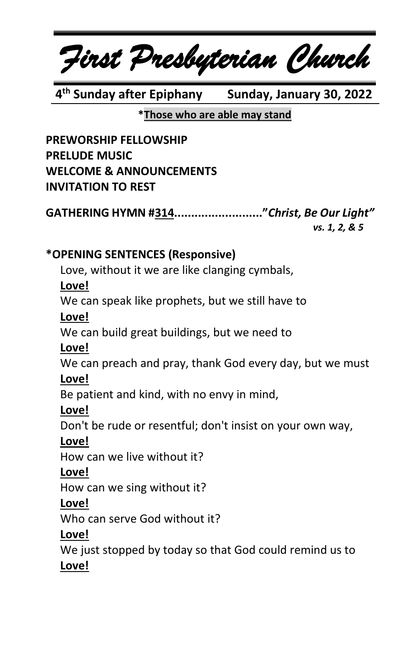*First Presbyterian Church*

**4 th Sunday after Epiphany Sunday, January 30, 2022**

# **\*Those who are able may stand**

**PREWORSHIP FELLOWSHIP PRELUDE MUSIC WELCOME & ANNOUNCEMENTS INVITATION TO REST**

**GATHERING HYMN #314.........................."***Christ, Be Our Light"*

*vs. 1, 2, & 5*

# **\*OPENING SENTENCES (Responsive)**

Love, without it we are like clanging cymbals,

# **Love!**

We can speak like prophets, but we still have to

# **Love!**

We can build great buildings, but we need to

# **Love!**

We can preach and pray, thank God every day, but we must

# **Love!**

Be patient and kind, with no envy in mind,

# **Love!**

Don't be rude or resentful; don't insist on your own way,

# **Love!**

How can we live without it?

# **Love!**

How can we sing without it?

# **Love!**

Who can serve God without it?

# **Love!**

We just stopped by today so that God could remind us to **Love!**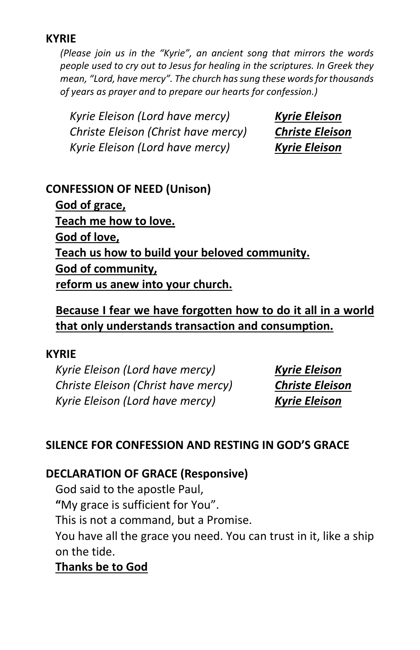#### **KYRIE**

*(Please join us in the "Kyrie", an ancient song that mirrors the words people used to cry out to Jesus for healing in the scriptures. In Greek they mean, "Lord, have mercy". The church has sung these words for thousands of years as prayer and to prepare our hearts for confession.)*

*Kyrie Eleison (Lord have mercy) Kyrie Eleison Christe Eleison (Christ have mercy) Christe Eleison Kyrie Eleison (Lord have mercy) Kyrie Eleison*

#### **CONFESSION OF NEED (Unison)**

**God of grace, Teach me how to love. God of love, Teach us how to build your beloved community. God of community, reform us anew into your church.**

# **Because I fear we have forgotten how to do it all in a world that only understands transaction and consumption.**

#### **KYRIE**

*Kyrie Eleison (Lord have mercy) Kyrie Eleison Christe Eleison (Christ have mercy) Christe Eleison Kyrie Eleison (Lord have mercy) Kyrie Eleison*

### **SILENCE FOR CONFESSION AND RESTING IN GOD'S GRACE**

#### **DECLARATION OF GRACE (Responsive)**

God said to the apostle Paul,

**"**My grace is sufficient for You".

This is not a command, but a Promise.

You have all the grace you need. You can trust in it, like a ship on the tide.

# **Thanks be to God**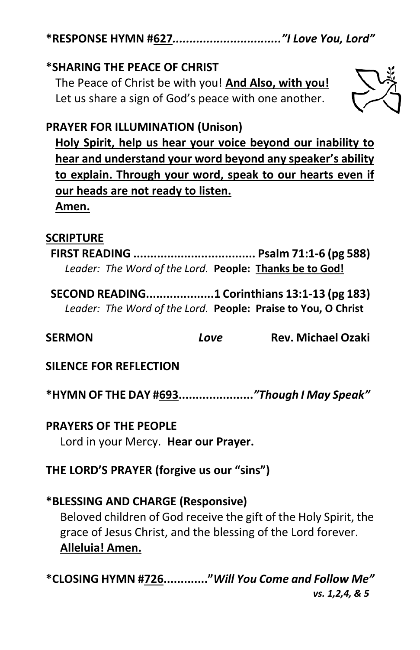**\*RESPONSE HYMN #627***................................"I Love You, Lord"*

# **\*SHARING THE PEACE OF CHRIST**

The Peace of Christ be with you! **And Also, with you!** Let us share a sign of God's peace with one another.



# **PRAYER FOR ILLUMINATION (Unison)**

**Holy Spirit, help us hear your voice beyond our inability to hear and understand your word beyond any speaker's ability to explain. Through your word, speak to our hearts even if our heads are not ready to listen. Amen.**

#### **SCRIPTURE**

**FIRST READING .................................... Psalm 71:1-6 (pg 588)** *Leader: The Word of the Lord.* **People: Thanks be to God!**

**SECOND READING....................1 Corinthians 13:1-13 (pg 183)** *Leader: The Word of the Lord.* **People: Praise to You, O Christ**

**SERMON** *Love* **Rev. Michael Ozaki**

**SILENCE FOR REFLECTION**

**\*HYMN OF THE DAY #693......................***"Though I May Speak"*

**PRAYERS OF THE PEOPLE** Lord in your Mercy. **Hear our Prayer.**

**THE LORD'S PRAYER (forgive us our "sins")**

### **\*BLESSING AND CHARGE (Responsive)**

Beloved children of God receive the gift of the Holy Spirit, the grace of Jesus Christ, and the blessing of the Lord forever. **Alleluia! Amen.**

**\*CLOSING HYMN #726............."***Will You Come and Follow Me" vs. 1,2,4, & 5*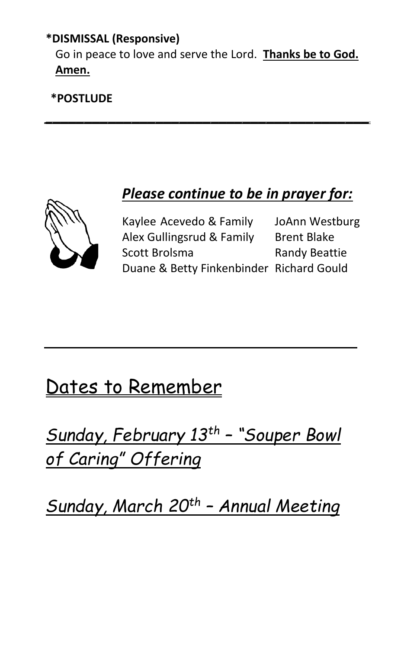# **\*DISMISSAL (Responsive)**

Go in peace to love and serve the Lord. **Thanks be to God. Amen.**

*\_\_\_\_\_\_\_\_\_\_\_\_\_\_\_\_\_\_\_\_\_\_\_\_\_\_\_\_\_\_\_\_\_\_\_\_\_\_\_\_\_*

**\*POSTLUDE**

*Please continue to be in prayer for:*

Kaylee Acevedo & Family JoAnn Westburg Alex Gullingsrud & Family Brent Blake Scott Brolsma<br>
Randy Beattie Duane & Betty Finkenbinder Richard Gould

# Dates to Remember

*Sunday, February 13th – "Souper Bowl of Caring" Offering*

*Sunday, March 20th – Annual Meeting*